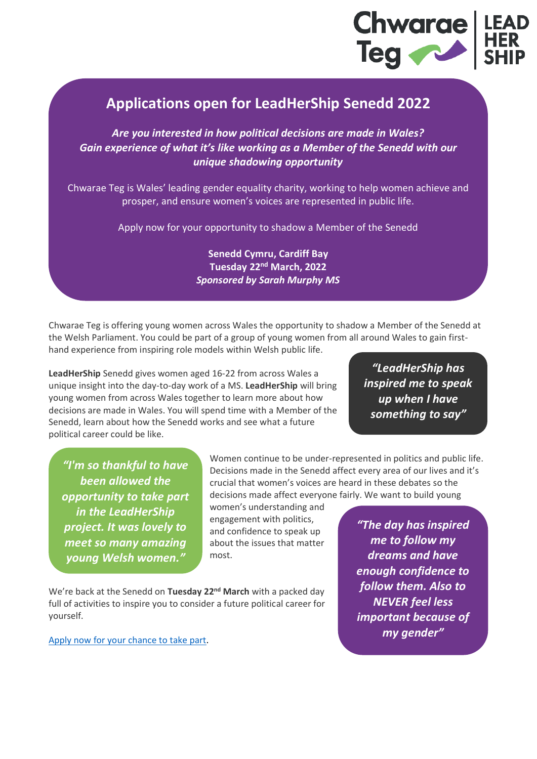

## **Applications open for LeadHerShip Senedd 2022**

*Are you interested in how political decisions are made in Wales? Gain experience of what it's like working as a Member of the Senedd with our unique shadowing opportunity*

Chwarae Teg is Wales' leading gender equality charity, working to help women achieve and prosper, and ensure women's voices are represented in public life.

Apply now for your opportunity to shadow a Member of the Senedd

**Senedd Cymru, Cardiff Bay Tuesday 22nd March, 2022** *Sponsored by Sarah Murphy MS*

Chwarae Teg is offering young women across Wales the opportunity to shadow a Member of the Senedd at the Welsh Parliament. You could be part of a group of young women from all around Wales to gain firsthand experience from inspiring role models within Welsh public life.

**LeadHerShip** Senedd gives women aged 16-22 from across Wales a unique insight into the day-to-day work of a MS. **LeadHerShip** will bring young women from across Wales together to learn more about how decisions are made in Wales. You will spend time with a Member of the

Senedd, learn about how the Senedd works and see what a future

*"LeadHerShip has inspired me to speak up when I have something to say"*

*"I'm so thankful to have been allowed the opportunity to take part in the LeadHerShip project. It was lovely to meet so many amazing young Welsh women."*

political career could be like.

Women continue to be under-represented in politics and public life. Decisions made in the Senedd affect every area of our lives and it's crucial that women's voices are heard in these debates so the decisions made affect everyone fairly. We want to build young

women's understanding and engagement with politics, and confidence to speak up about the issues that matter most.

We're back at the Senedd on Tuesday 22<sup>nd</sup> March with a packed day full of activities to inspire you to consider a future political career for yourself.

Apply now [for your chance to take part.](https://forms.office.com/r/sByZ858NCJ)

*"The day has inspired me to follow my dreams and have enough confidence to follow them. Also to NEVER feel less important because of my gender"*